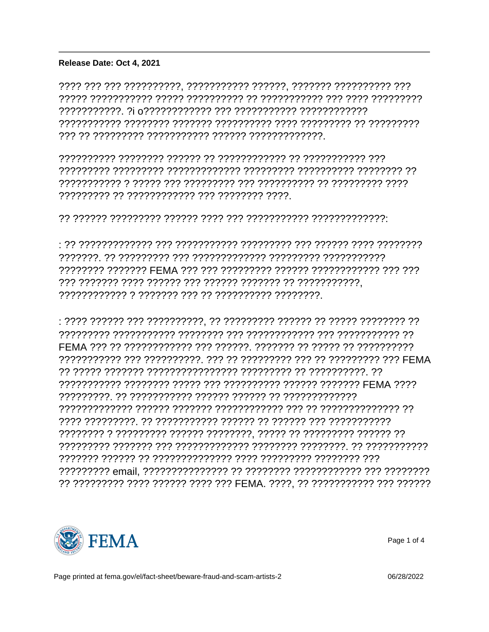## $\hat{A}$   $\hat{A}$   $\hat{B}$   $\hat{C}$   $\hat{D}$   $\hat{A}$   $\hat{A}$   $\hat{A}$   $\hat{A}$   $\hat{B}$   $\hat{C}$   $\hat{B}$   $\hat{C}$   $\hat{C}$   $\hat{C}$   $\hat{A}$   $\hat{C}$   $\hat{C}$   $\hat{C}$   $\hat{A}$   $\hat{C}$   $\hat{C}$   $\hat{C}$   $\hat{A}$   $\hat{C}$   $\hat{C}$   $\hat{C}$   $\hat{A$

Release Date: Oct 4, 2021

???????? ??????? FEMA ??? ??? ???????? ?????? ??????????? ??? ??? 

?? ????????? ???? ?????? ???? ??? FEMA, ????, ?? ?????????? ??? ??????



Page 1 of 4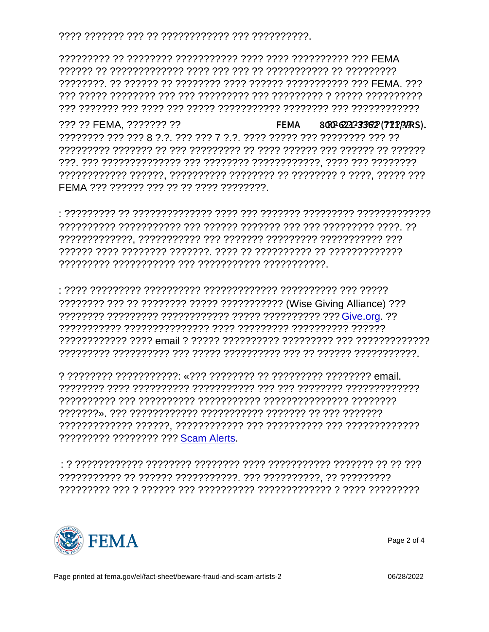??? ?? FEMA, ??????? ??  ${}^3\text{\AA} \pm {}^{\prime\prime}4\text{\AA}$   ${}^2\text{C}$ ,  $\mu^1 \pm \text{\AA}$   $R$ ? $R$ ? $R$  $R$  $R$ ? $R$  $R$  $R$  $\ddot{R}$  $\ddot{R}$ , 800-621 FFMA ??? ?????? ??? ?? ?? ???? ?????????

:**ALA PARE 30200 PROTES 3000 PROTES 5000 PROTES 5000 PROTES 30000 PROTES 30000 PROTES 30000 PROTES 30000 PROTES** 

????????? ???????? ??? Scam Alerts.



Page 2 of 4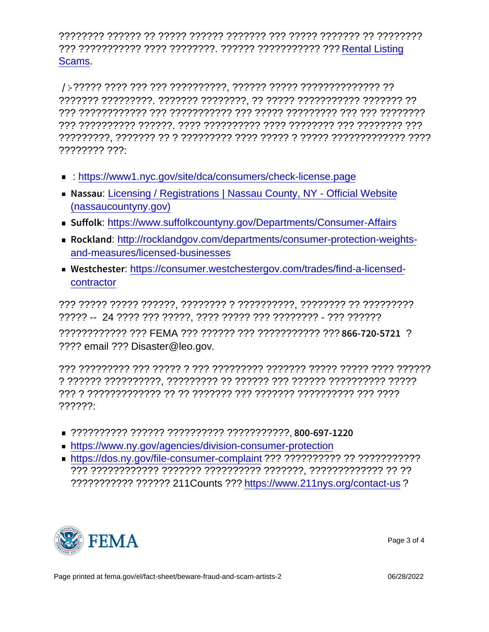???????? ?????? ?? ????? ?????? ??????? ??? ????? ??????? ?? ???????? ??? ??????????? ???? ????????. ?????? ??????????? ??? [Rental Listing](https://usfema-my.sharepoint.com/personal/0376056852_fema_dhs_gov/Documents/Documents/00-4615 NEW YORK/4615 Products/Fact Sheets/Rental Listing Scams) [Scams](https://usfema-my.sharepoint.com/personal/0376056852_fema_dhs_gov/Documents/Documents/00-4615 NEW YORK/4615 Products/Fact Sheets/Rental Listing Scams).

 Á¿Ã¿Ç® õ¼·-±´µ¹¿ÍÇ¿ÅÂ /±½±ÃƬ»¹ÃĿеÁ³¿»¬²¿ÅÂ : ????? ???? ??? ??? ??????????, ?????? ????? ?????????????? ?? ??????? ?????????. ??????? ????????, ?? ????? ??????????? ??????? ?? ??? ???????????? ??? ??????????? ??? ????? ????????? ??? ??? ???????? ??? ?????????? ??????. ???? ?????????? ???? ???????? ??? ???????? ??? ?????????, ??????? ?? ? ????????? ???? ????? ? ????? ????????????? ???? ???????? ???:

- https://www.nyc.gov/site/dca/consumers/check-license.page
- **Nations Auget in Austrations | Nassau County, NY Official Website** [\(nassaucountyny.gov\)](https://www.nassaucountyny.gov/1563/Licensing-Registrations)
- S  $\mu$  <sup>f</sup> to <sup>n</sup>ttos: *i*/www.suffolk countyny.gov/Departments/Consumer-Affairs
- $\mathbb{R} \varrho$  ½ k Adutipt//rockland gov.com/departments/consumer-protection-weights[and-measures/licensed-businesses](http://rocklandgov.com/departments/consumer-protection-weights-and-measures/licensed-businesses)
- Wetter t A in elation: [https://consumer.westchestergov.com/trades/find-a-licensed](https://consumer.westchestergov.com/trades/find-a-licensed-contractor)[contractor](https://consumer.westchestergov.com/trades/find-a-licensed-contractor)

??? ????? ????? ??????, ???????? ? ??????????, ???????? ?? ????????? ????? -- 24 ???? ??? ?????, ???? ????? ??? ???????? - ??? ?????? ???????????? ??? FEMA ??? ?????? ??? ??????????? ??? 866-720-5721 ? ???? email ??? Disaster@leo.gov.

??? ????????? ??? ????? ? ??? ????????? ??????? ????? ????? ???? ?????? ? ?????? ??????????, ????????? ?? ?????? ??? ?????? ?????????? ????? ??? ? ????????????? ?? ?? ??????? ??? ??????? ?????????? ??? ???? ??????:

- ?????????? ?????? ?????????? ???????????, 800-697-1220
- <https://www.ny.gov/agencies/division-consumer-protection>
- <https://dos.ny.gov/file-consumer-complaint> ??? ?????????? ?? ??????????? ??? ???????????? ??????? ?????????? ???????, ????????????? ?? ?? ??????????? ?????? 211Counts ???<https://www.211nys.org/contact-us>?



Page 3 of 4